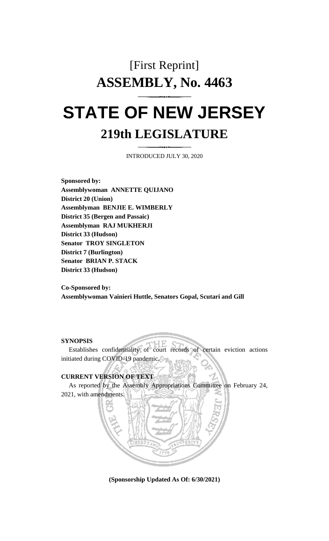# [First Reprint] **ASSEMBLY, No. 4463 STATE OF NEW JERSEY**

## **219th LEGISLATURE**

INTRODUCED JULY 30, 2020

**Sponsored by: Assemblywoman ANNETTE QUIJANO District 20 (Union) Assemblyman BENJIE E. WIMBERLY District 35 (Bergen and Passaic) Assemblyman RAJ MUKHERJI District 33 (Hudson) Senator TROY SINGLETON District 7 (Burlington) Senator BRIAN P. STACK District 33 (Hudson)**

**Co-Sponsored by: Assemblywoman Vainieri Huttle, Senators Gopal, Scutari and Gill**

#### **SYNOPSIS**

Establishes confidentiality of court records of certain eviction actions initiated during COVID-19 pandemic.

### **CURRENT VERSION OF TEXT**

As reported by the Assembly Appropriations Committee on February 24, 2021, with amendments.

**(Sponsorship Updated As Of: 6/30/2021)**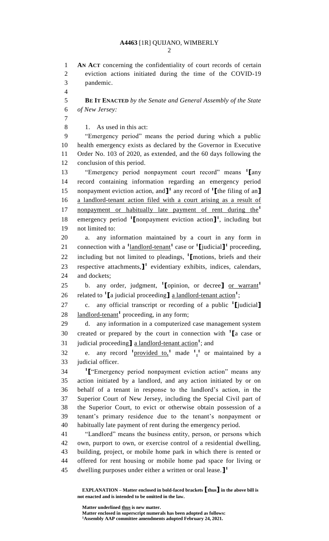**A4463** [1R] QUIJANO, WIMBERLY

 **AN ACT** concerning the confidentiality of court records of certain eviction actions initiated during the time of the COVID-19

**EXPLANATION – Matter enclosed in bold-faced brackets [thus] in the above bill is not enacted and is intended to be omitted in the law.** pandemic. **BE IT ENACTED** *by the Senate and General Assembly of the State of New Jersey:* 1. As used in this act: "Emergency period" means the period during which a public health emergency exists as declared by the Governor in Executive Order No. 103 of 2020, as extended, and the 60 days following the conclusion of this period. "Emergency period nonpayment court record" means **<sup>1</sup> [**any record containing information regarding an emergency period nonpayment eviction action, and**] 1** any record of **<sup>1</sup> [**the filing of an**]** a landlord-tenant action filed with a court arising as a result of nonpayment or habitually late payment of rent during the**<sup>1</sup>** 18 emergency period <sup>1</sup>I nonpayment eviction action<sup>1</sup>, including but not limited to: a. any information maintained by a court in any form in 21 connection with a  $\frac{1 \text{l} \text{and} \text{d} \text{d} \cdot \text{t} - \text{t} \cdot \text{d} \cdot \text{d} \cdot \text{d} \cdot \text{d} \cdot \text{d} \cdot \text{d} \cdot \text{d} \cdot \text{d} \cdot \text{d} \cdot \text{d} \cdot \text{d} \cdot \text{d} \cdot \text{d} \cdot \text{d} \cdot \text{d} \cdot \text{d} \cdot \text{d} \cdot \text{d} \cdot \text{d} \cdot \text{d} \cdot \text{d} \cdot \text{d} \cdot \text{d} \$ including but not limited to pleadings, **<sup>1</sup> [**motions, briefs and their 23 respective attachments, $\mathbf{I}^1$  evidentiary exhibits, indices, calendars, and dockets; b. any order, judgment, **<sup>1</sup> [**opinion, or decree**]** or warrant**<sup>1</sup>** 26 related to <sup>1</sup>[a judicial proceeding] <u>a landlord-tenant action</u><sup>1</sup>; c. any official transcript or recording of a public **<sup>1</sup> [**judicial**]** 28 landlord-tenant<sup>1</sup> proceeding, in any form; d. any information in a computerized case management system created or prepared by the court in connection with **<sup>1</sup> [**a case or 31 judicial proceeding a landlord-tenant action<sup>1</sup>; and 32 e. any record  $\frac{1 \text{ provided to,}}{1 \text{ made } 1}$  made  $\frac{1}{2}$  or maintained by a judicial officer. **1 [**"Emergency period nonpayment eviction action" means any action initiated by a landlord, and any action initiated by or on behalf of a tenant in response to the landlord's action, in the Superior Court of New Jersey, including the Special Civil part of the Superior Court, to evict or otherwise obtain possession of a tenant's primary residence due to the tenant's nonpayment or habitually late payment of rent during the emergency period. "Landlord" means the business entity, person, or persons which own, purport to own, or exercise control of a residential dwelling, building, project, or mobile home park in which there is rented or offered for rent housing or mobile home pad space for living or dwelling purposes under either a written or oral lease.**] 1** 

**Matter underlined thus is new matter.**

**Matter enclosed in superscript numerals has been adopted as follows: Assembly AAP committee amendments adopted February 24, 2021.**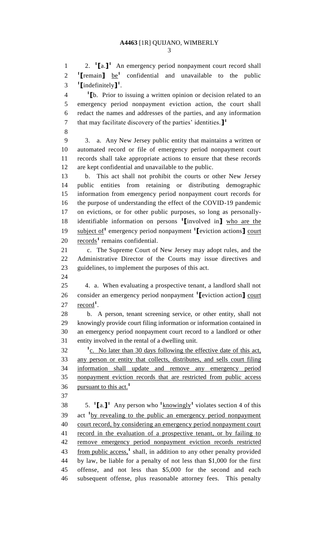2. **<sup>1</sup> [**a.**] 1** 1 An emergency period nonpayment court record shall **1 [**remain**]** be**<sup>1</sup>** confidential and unavailable to the public **1 [**indefinitely**] 1** .

**1 [**b. Prior to issuing a written opinion or decision related to an emergency period nonpayment eviction action, the court shall redact the names and addresses of the parties, and any information that may facilitate discovery of the parties' identities.**] 1** 

 3. a. Any New Jersey public entity that maintains a written or automated record or file of emergency period nonpayment court records shall take appropriate actions to ensure that these records are kept confidential and unavailable to the public.

 b. This act shall not prohibit the courts or other New Jersey public entities from retaining or distributing demographic information from emergency period nonpayment court records for the purpose of understanding the effect of the COVID-19 pandemic on evictions, or for other public purposes, so long as personallyidentifiable information on persons **<sup>1</sup> [**involved in**]** who are the **subject of**<sup>1</sup> emergency period nonpayment <sup>1</sup>[eviction actions] court 20 records<sup>1</sup> remains confidential.

 c. The Supreme Court of New Jersey may adopt rules, and the Administrative Director of the Courts may issue directives and guidelines, to implement the purposes of this act.

 4. a. When evaluating a prospective tenant, a landlord shall not consider an emergency period nonpayment **<sup>1</sup> [**eviction action**]** court 27 <u>record</u><sup>1</sup>.

 b. A person, tenant screening service, or other entity, shall not knowingly provide court filing information or information contained in an emergency period nonpayment court record to a landlord or other entity involved in the rental of a dwelling unit.

<sup>1</sup> c. No later than 30 days following the effective date of this act, any person or entity that collects, distributes, and sells court filing information shall update and remove any emergency period nonpayment eviction records that are restricted from public access pursuant to this act.**<sup>1</sup>** 

 $\qquad$  5. **1** [a.]<sup>1</sup> Any person who  $\frac{1 \text{knowingly}}{1 \text{ volume of the second.}}$  and  $\qquad \qquad$  4 of this 39 act <sup>1</sup> by revealing to the public an emergency period nonpayment court record, by considering an emergency period nonpayment court 41 record in the evaluation of a prospective tenant, or by failing to remove emergency period nonpayment eviction records restricted 43 from public access,<sup>1</sup> shall, in addition to any other penalty provided by law, be liable for a penalty of not less than \$1,000 for the first offense, and not less than \$5,000 for the second and each subsequent offense, plus reasonable attorney fees. This penalty